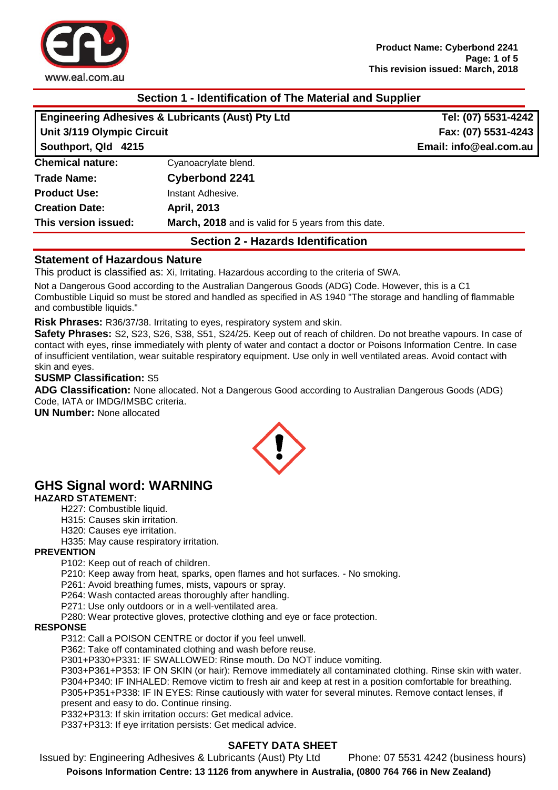

# **Section 1 - Identification of The Material and Supplier**

| <b>Engineering Adhesives &amp; Lubricants (Aust) Pty Ltd</b><br>Unit 3/119 Olympic Circuit<br>Southport, Qld 4215 |                                                      | Tel: (07) 5531-4242                           |                         |
|-------------------------------------------------------------------------------------------------------------------|------------------------------------------------------|-----------------------------------------------|-------------------------|
|                                                                                                                   |                                                      | Fax: (07) 5531-4243<br>Email: info@eal.com.au |                         |
|                                                                                                                   |                                                      |                                               | <b>Chemical nature:</b> |
| <b>Trade Name:</b>                                                                                                | <b>Cyberbond 2241</b>                                |                                               |                         |
| <b>Product Use:</b>                                                                                               | Instant Adhesive.                                    |                                               |                         |
| <b>Creation Date:</b>                                                                                             | <b>April, 2013</b>                                   |                                               |                         |
| This version issued:                                                                                              | March, 2018 and is valid for 5 years from this date. |                                               |                         |
|                                                                                                                   |                                                      |                                               |                         |

# **Section 2 - Hazards Identification**

#### **Statement of Hazardous Nature**

This product is classified as: Xi, Irritating. Hazardous according to the criteria of SWA.

Not a Dangerous Good according to the Australian Dangerous Goods (ADG) Code. However, this is a C1 Combustible Liquid so must be stored and handled as specified in AS 1940 "The storage and handling of flammable and combustible liquids."

**Risk Phrases:** R36/37/38. Irritating to eyes, respiratory system and skin.

**Safety Phrases:** S2, S23, S26, S38, S51, S24/25. Keep out of reach of children. Do not breathe vapours. In case of contact with eyes, rinse immediately with plenty of water and contact a doctor or Poisons Information Centre. In case of insufficient ventilation, wear suitable respiratory equipment. Use only in well ventilated areas. Avoid contact with skin and eyes.

#### **SUSMP Classification:** S5

**ADG Classification:** None allocated. Not a Dangerous Good according to Australian Dangerous Goods (ADG) Code, IATA or IMDG/IMSBC criteria.

**UN Number:** None allocated



# **GHS Signal word: WARNING**

#### **HAZARD STATEMENT:**

- H227: Combustible liquid.
- H315: Causes skin irritation.
- H320: Causes eye irritation.
- H335: May cause respiratory irritation.

#### **PREVENTION**

P102: Keep out of reach of children.

P210: Keep away from heat, sparks, open flames and hot surfaces. - No smoking.

P261: Avoid breathing fumes, mists, vapours or spray.

P264: Wash contacted areas thoroughly after handling.

P271: Use only outdoors or in a well-ventilated area.

P280: Wear protective gloves, protective clothing and eye or face protection.

#### **RESPONSE**

P312: Call a POISON CENTRE or doctor if you feel unwell.

P362: Take off contaminated clothing and wash before reuse.

P301+P330+P331: IF SWALLOWED: Rinse mouth. Do NOT induce vomiting.

P303+P361+P353: IF ON SKIN (or hair): Remove immediately all contaminated clothing. Rinse skin with water. P304+P340: IF INHALED: Remove victim to fresh air and keep at rest in a position comfortable for breathing. P305+P351+P338: IF IN EYES: Rinse cautiously with water for several minutes. Remove contact lenses, if

present and easy to do. Continue rinsing.

P332+P313: If skin irritation occurs: Get medical advice.

P337+P313: If eye irritation persists: Get medical advice.

## **SAFETY DATA SHEET**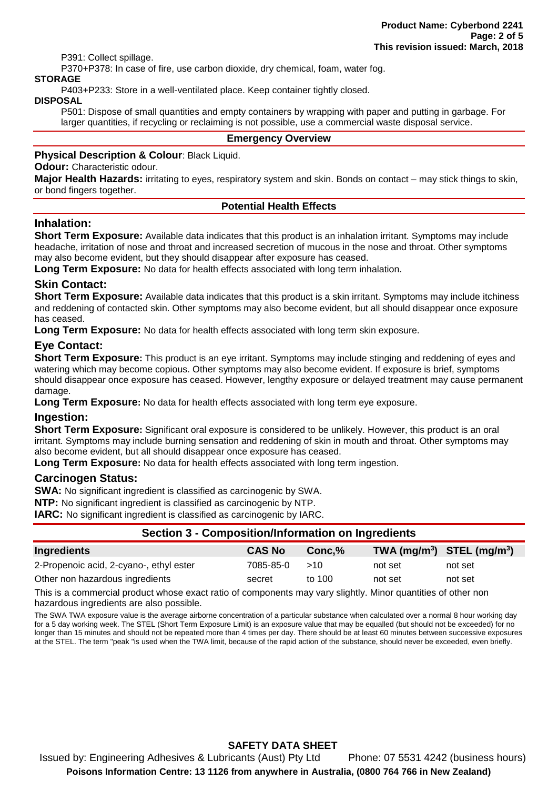P391: Collect spillage.

P370+P378: In case of fire, use carbon dioxide, dry chemical, foam, water fog.

#### **STORAGE**

P403+P233: Store in a well-ventilated place. Keep container tightly closed.

#### **DISPOSAL**

P501: Dispose of small quantities and empty containers by wrapping with paper and putting in garbage. For larger quantities, if recycling or reclaiming is not possible, use a commercial waste disposal service.

#### **Emergency Overview**

#### **Physical Description & Colour**: Black Liquid.

**Odour:** Characteristic odour.

**Major Health Hazards:** irritating to eyes, respiratory system and skin. Bonds on contact – may stick things to skin, or bond fingers together.

#### **Potential Health Effects**

#### **Inhalation:**

**Short Term Exposure:** Available data indicates that this product is an inhalation irritant. Symptoms may include headache, irritation of nose and throat and increased secretion of mucous in the nose and throat. Other symptoms may also become evident, but they should disappear after exposure has ceased.

**Long Term Exposure:** No data for health effects associated with long term inhalation.

#### **Skin Contact:**

**Short Term Exposure:** Available data indicates that this product is a skin irritant. Symptoms may include itchiness and reddening of contacted skin. Other symptoms may also become evident, but all should disappear once exposure has ceased.

**Long Term Exposure:** No data for health effects associated with long term skin exposure.

## **Eye Contact:**

**Short Term Exposure:** This product is an eye irritant. Symptoms may include stinging and reddening of eyes and watering which may become copious. Other symptoms may also become evident. If exposure is brief, symptoms should disappear once exposure has ceased. However, lengthy exposure or delayed treatment may cause permanent damage.

**Long Term Exposure:** No data for health effects associated with long term eye exposure.

#### **Ingestion:**

**Short Term Exposure:** Significant oral exposure is considered to be unlikely. However, this product is an oral irritant. Symptoms may include burning sensation and reddening of skin in mouth and throat. Other symptoms may also become evident, but all should disappear once exposure has ceased.

**Long Term Exposure:** No data for health effects associated with long term ingestion.

#### **Carcinogen Status:**

**SWA:** No significant ingredient is classified as carcinogenic by SWA.

**NTP:** No significant ingredient is classified as carcinogenic by NTP.

**IARC:** No significant ingredient is classified as carcinogenic by IARC.

## **Section 3 - Composition/Information on Ingredients**

| Ingredients                             | <b>CAS No</b> | $Conc.\%$ |         | $TWA$ (mg/m <sup>3</sup> ) STEL (mg/m <sup>3</sup> ) |
|-----------------------------------------|---------------|-----------|---------|------------------------------------------------------|
| 2-Propenoic acid, 2-cyano-, ethyl ester | 7085-85-0     | >10       | not set | not set                                              |
| Other non hazardous ingredients         | secret        | to 100    | not set | not set                                              |

This is a commercial product whose exact ratio of components may vary slightly. Minor quantities of other non hazardous ingredients are also possible.

The SWA TWA exposure value is the average airborne concentration of a particular substance when calculated over a normal 8 hour working day for a 5 day working week. The STEL (Short Term Exposure Limit) is an exposure value that may be equalled (but should not be exceeded) for no longer than 15 minutes and should not be repeated more than 4 times per day. There should be at least 60 minutes between successive exposures at the STEL. The term "peak "is used when the TWA limit, because of the rapid action of the substance, should never be exceeded, even briefly.

## **SAFETY DATA SHEET**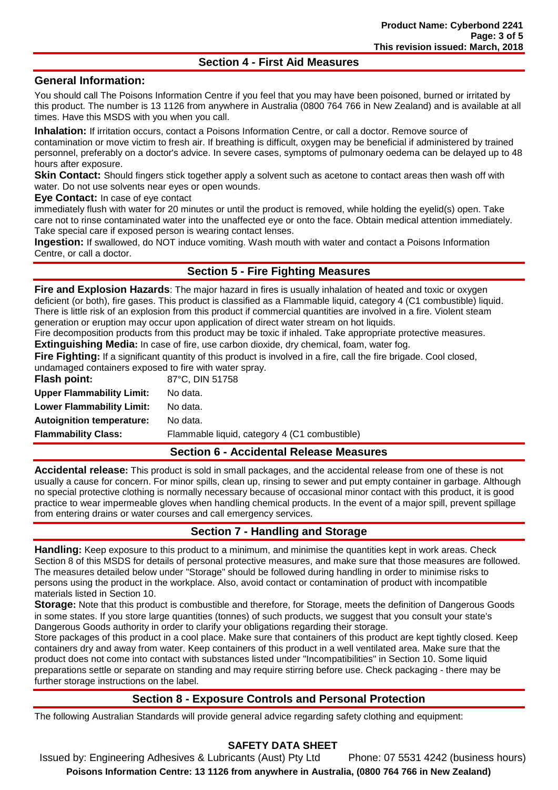## **Section 4 - First Aid Measures**

## **General Information:**

You should call The Poisons Information Centre if you feel that you may have been poisoned, burned or irritated by this product. The number is 13 1126 from anywhere in Australia (0800 764 766 in New Zealand) and is available at all times. Have this MSDS with you when you call.

**Inhalation:** If irritation occurs, contact a Poisons Information Centre, or call a doctor. Remove source of contamination or move victim to fresh air. If breathing is difficult, oxygen may be beneficial if administered by trained personnel, preferably on a doctor's advice. In severe cases, symptoms of pulmonary oedema can be delayed up to 48 hours after exposure.

**Skin Contact:** Should fingers stick together apply a solvent such as acetone to contact areas then wash off with water. Do not use solvents near eyes or open wounds.

**Eye Contact:** In case of eye contact

immediately flush with water for 20 minutes or until the product is removed, while holding the eyelid(s) open. Take care not to rinse contaminated water into the unaffected eye or onto the face. Obtain medical attention immediately. Take special care if exposed person is wearing contact lenses.

**Ingestion:** If swallowed, do NOT induce vomiting. Wash mouth with water and contact a Poisons Information Centre, or call a doctor.

## **Section 5 - Fire Fighting Measures**

**Fire and Explosion Hazards**: The major hazard in fires is usually inhalation of heated and toxic or oxygen deficient (or both), fire gases. This product is classified as a Flammable liquid, category 4 (C1 combustible) liquid. There is little risk of an explosion from this product if commercial quantities are involved in a fire. Violent steam generation or eruption may occur upon application of direct water stream on hot liquids.

Fire decomposition products from this product may be toxic if inhaled. Take appropriate protective measures. **Extinguishing Media:** In case of fire, use carbon dioxide, dry chemical, foam, water fog.

**Fire Fighting:** If a significant quantity of this product is involved in a fire, call the fire brigade. Cool closed, undamaged containers exposed to fire with water spray.

| Flash point:                     | 87°C, DIN 51758                               |
|----------------------------------|-----------------------------------------------|
| <b>Upper Flammability Limit:</b> | No data.                                      |
| <b>Lower Flammability Limit:</b> | No data.                                      |
| <b>Autoignition temperature:</b> | No data.                                      |
| <b>Flammability Class:</b>       | Flammable liquid, category 4 (C1 combustible) |

## **Section 6 - Accidental Release Measures**

**Accidental release:** This product is sold in small packages, and the accidental release from one of these is not usually a cause for concern. For minor spills, clean up, rinsing to sewer and put empty container in garbage. Although no special protective clothing is normally necessary because of occasional minor contact with this product, it is good practice to wear impermeable gloves when handling chemical products. In the event of a major spill, prevent spillage from entering drains or water courses and call emergency services.

## **Section 7 - Handling and Storage**

**Handling:** Keep exposure to this product to a minimum, and minimise the quantities kept in work areas. Check Section 8 of this MSDS for details of personal protective measures, and make sure that those measures are followed. The measures detailed below under "Storage" should be followed during handling in order to minimise risks to persons using the product in the workplace. Also, avoid contact or contamination of product with incompatible materials listed in Section 10.

**Storage:** Note that this product is combustible and therefore, for Storage, meets the definition of Dangerous Goods in some states. If you store large quantities (tonnes) of such products, we suggest that you consult your state's Dangerous Goods authority in order to clarify your obligations regarding their storage.

Store packages of this product in a cool place. Make sure that containers of this product are kept tightly closed. Keep containers dry and away from water. Keep containers of this product in a well ventilated area. Make sure that the product does not come into contact with substances listed under "Incompatibilities" in Section 10. Some liquid preparations settle or separate on standing and may require stirring before use. Check packaging - there may be further storage instructions on the label.

## **Section 8 - Exposure Controls and Personal Protection**

The following Australian Standards will provide general advice regarding safety clothing and equipment:

## **SAFETY DATA SHEET**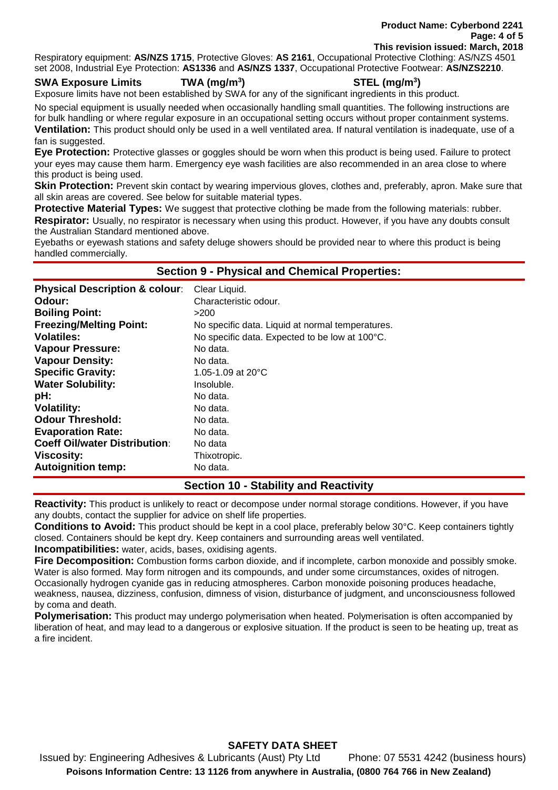**Product Name: Cyberbond 2241 Page: 4 of 5 This revision issued: March, 2018**

Respiratory equipment: **AS/NZS 1715**, Protective Gloves: **AS 2161**, Occupational Protective Clothing: AS/NZS 4501 set 2008, Industrial Eye Protection: **AS1336** and **AS/NZS 1337**, Occupational Protective Footwear: **AS/NZS2210**.

#### **SWA Exposure Limits TWA (mg/m<sup>3</sup>**

**) STEL (mg/m<sup>3</sup> )**

Exposure limits have not been established by SWA for any of the significant ingredients in this product.

No special equipment is usually needed when occasionally handling small quantities. The following instructions are for bulk handling or where regular exposure in an occupational setting occurs without proper containment systems. **Ventilation:** This product should only be used in a well ventilated area. If natural ventilation is inadequate, use of a fan is suggested.

**Eye Protection:** Protective glasses or goggles should be worn when this product is being used. Failure to protect your eyes may cause them harm. Emergency eye wash facilities are also recommended in an area close to where this product is being used.

**Skin Protection:** Prevent skin contact by wearing impervious gloves, clothes and, preferably, apron. Make sure that all skin areas are covered. See below for suitable material types.

**Protective Material Types:** We suggest that protective clothing be made from the following materials: rubber. **Respirator:** Usually, no respirator is necessary when using this product. However, if you have any doubts consult the Australian Standard mentioned above.

Eyebaths or eyewash stations and safety deluge showers should be provided near to where this product is being handled commercially.

#### **Section 9 - Physical and Chemical Properties:**

| <b>Physical Description &amp; colour:</b> | Clear Liquid.                                    |
|-------------------------------------------|--------------------------------------------------|
| Odour:                                    | Characteristic odour.                            |
| <b>Boiling Point:</b>                     | >200                                             |
| <b>Freezing/Melting Point:</b>            | No specific data. Liquid at normal temperatures. |
| <b>Volatiles:</b>                         | No specific data. Expected to be low at 100°C.   |
| <b>Vapour Pressure:</b>                   | No data.                                         |
| <b>Vapour Density:</b>                    | No data.                                         |
| <b>Specific Gravity:</b>                  | 1.05-1.09 at $20^{\circ}$ C                      |
| <b>Water Solubility:</b>                  | Insoluble.                                       |
| pH:                                       | No data.                                         |
| <b>Volatility:</b>                        | No data.                                         |
| <b>Odour Threshold:</b>                   | No data.                                         |
| <b>Evaporation Rate:</b>                  | No data.                                         |
| <b>Coeff Oil/water Distribution:</b>      | No data                                          |
| <b>Viscosity:</b>                         | Thixotropic.                                     |
| <b>Autoignition temp:</b>                 | No data.                                         |

## **Section 10 - Stability and Reactivity**

**Reactivity:** This product is unlikely to react or decompose under normal storage conditions. However, if you have any doubts, contact the supplier for advice on shelf life properties.

**Conditions to Avoid:** This product should be kept in a cool place, preferably below 30°C. Keep containers tightly closed. Containers should be kept dry. Keep containers and surrounding areas well ventilated.

**Incompatibilities:** water, acids, bases, oxidising agents.

**Fire Decomposition:** Combustion forms carbon dioxide, and if incomplete, carbon monoxide and possibly smoke. Water is also formed. May form nitrogen and its compounds, and under some circumstances, oxides of nitrogen. Occasionally hydrogen cyanide gas in reducing atmospheres. Carbon monoxide poisoning produces headache, weakness, nausea, dizziness, confusion, dimness of vision, disturbance of judgment, and unconsciousness followed by coma and death.

**Polymerisation:** This product may undergo polymerisation when heated. Polymerisation is often accompanied by liberation of heat, and may lead to a dangerous or explosive situation. If the product is seen to be heating up, treat as a fire incident.

## **SAFETY DATA SHEET**